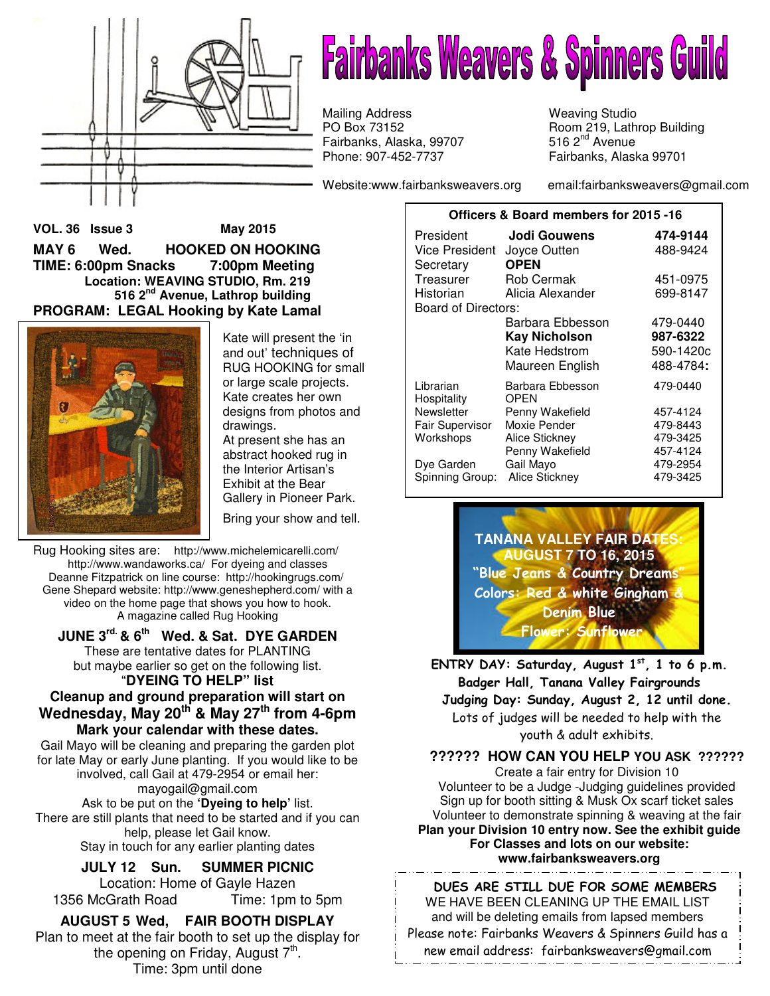

# **Fairbanks Weavers & Spinners Guild**

Mailing Address **Mailing Address** Weaving Studio<br>PO Box 73152 Moom 219, Lath Fairbanks, Alaska, 99707 Phone: 907-452-7737 Fairbanks, Alaska 99701

Website:www.fairbanksweavers.org email:fairbanksweavers@gmail.com

Room 219, Lathrop Building<br>516  $2<sup>nd</sup>$  Avenue

**VOL. 36 Issue 3 May 2015 MAY 6 Wed. HOOKED ON HOOKING TIME: 6:00pm Snacks 7:00pm Meeting Location: WEAVING STUDIO, Rm. 219 516 2nd Avenue, Lathrop building PROGRAM: LEGAL Hooking by Kate Lamal** 



Kate will present the 'in and out' techniques of RUG HOOKING for small or large scale projects. Kate creates her own designs from photos and drawings.

At present she has an abstract hooked rug in the Interior Artisan's Exhibit at the Bear Gallery in Pioneer Park.

Bring your show and tell.

Rug Hooking sites are: http://www.michelemicarelli.com/ http://www.wandaworks.ca/ For dyeing and classes Deanne Fitzpatrick on line course: http://hookingrugs.com/ Gene Shepard website: http://www.geneshepherd.com/ with a video on the home page that shows you how to hook. A magazine called Rug Hooking

**JUNE 3rd. & 6th Wed. & Sat. DYE GARDEN** 

These are tentative dates for PLANTING but maybe earlier so get on the following list. "**DYEING TO HELP" list** 

#### **Cleanup and ground preparation will start on Wednesday, May 20th & May 27th from 4-6pm Mark your calendar with these dates.**

Gail Mayo will be cleaning and preparing the garden plot for late May or early June planting. If you would like to be involved, call Gail at 479-2954 or email her: mayogail@gmail.com Ask to be put on the **'Dyeing to help'** list.

There are still plants that need to be started and if you can help, please let Gail know. Stay in touch for any earlier planting dates

> **JULY 12 Sun. SUMMER PICNIC**  Location: Home of Gayle Hazen

1356 McGrath Road Time: 1pm to 5pm

**AUGUST 5 Wed, FAIR BOOTH DISPLAY**  Plan to meet at the fair booth to set up the display for the opening on Friday, August 7<sup>th</sup>. Time: 3pm until done

| Officers & Board members for 2015 -16 |                               |           |  |  |  |
|---------------------------------------|-------------------------------|-----------|--|--|--|
| President                             | Jodi Gouwens                  | 474-9144  |  |  |  |
| <b>Vice President</b>                 | Joyce Outten                  | 488-9424  |  |  |  |
| Secretary                             | <b>OPEN</b>                   |           |  |  |  |
| Treasurer                             | <b>Rob Cermak</b><br>451-0975 |           |  |  |  |
| Historian                             | Alicia Alexander              | 699-8147  |  |  |  |
| <b>Board of Directors:</b>            |                               |           |  |  |  |
|                                       | Barbara Ebbesson              | 479-0440  |  |  |  |
|                                       | <b>Kay Nicholson</b>          | 987-6322  |  |  |  |
|                                       | Kate Hedstrom                 | 590-1420c |  |  |  |
|                                       | Maureen English               | 488-4784: |  |  |  |
| Librarian<br>Hospitality              | Barbara Ebbesson<br>OPEN      | 479-0440  |  |  |  |
| Newsletter                            | Penny Wakefield               | 457-4124  |  |  |  |
| Fair Supervisor                       | Moxie Pender                  | 479-8443  |  |  |  |
| Workshops                             | Alice Stickney                | 479-3425  |  |  |  |
|                                       | Penny Wakefield               | 457-4124  |  |  |  |
| Dye Garden                            | Gail Mayo<br>479-2954         |           |  |  |  |
| Spinning Group:                       | Alice Stickney                | 479-3425  |  |  |  |

**TANANA VALLEY FAIR DAT AUGUST 7 TO 16, 2015** "Blue Jeans & Country Dreams" Colors: Red & white Gingham & Denim Blue Flower: Sunflower

ENTRY DAY: Saturday, August  $1<sup>st</sup>$ , 1 to 6 p.m. Badger Hall, Tanana Valley Fairgrounds Judging Day: Sunday, August 2, 12 until done. Lots of judges will be needed to help with the youth & adult exhibits.

**?????? HOW CAN YOU HELP YOU ASK ??????** 

Create a fair entry for Division 10 Volunteer to be a Judge -Judging guidelines provided Sign up for booth sitting & Musk Ox scarf ticket sales Volunteer to demonstrate spinning & weaving at the fair **Plan your Division 10 entry now. See the exhibit guide For Classes and lots on our website: www.fairbanksweavers.org**

DUES ARE STILL DUE FOR SOME MEMBERS WE HAVE BEEN CLEANING UP THE EMAIL LIST and will be deleting emails from lapsed members Please note: Fairbanks Weavers & Spinners Guild has a new email address: fairbanksweavers@gmail.com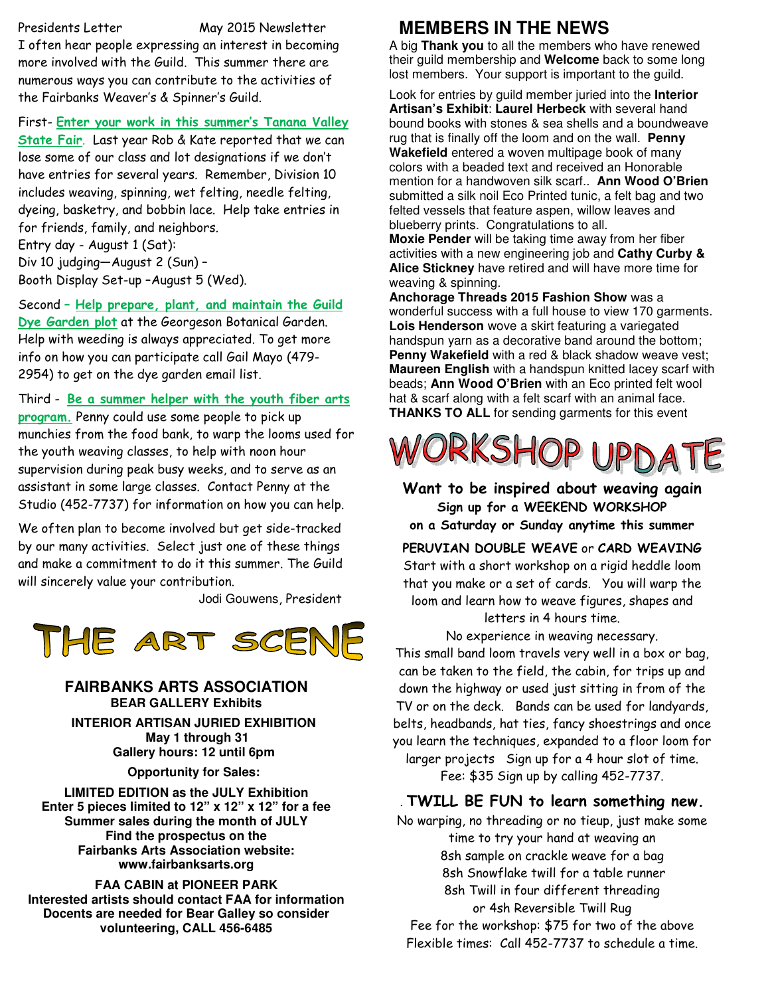Presidents Letter May 2015 Newsletter

I often hear people expressing an interest in becoming more involved with the Guild. This summer there are numerous ways you can contribute to the activities of the Fairbanks Weaver's & Spinner's Guild.

#### First- Enter your work in this summer's Tanana Valley

State Fair. Last year Rob & Kate reported that we can lose some of our class and lot designations if we don't have entries for several years. Remember, Division 10 includes weaving, spinning, wet felting, needle felting, dyeing, basketry, and bobbin lace. Help take entries in for friends, family, and neighbors. Entry day - August 1 (Sat):

Div 10 judging—August 2 (Sun) – Booth Display Set-up –August 5 (Wed).

Second - Help prepare, plant, and maintain the Guild Dye Garden plot at the Georgeson Botanical Garden. Help with weeding is always appreciated. To get more info on how you can participate call Gail Mayo (479- 2954) to get on the dye garden email list.

Third - Be a summer helper with the youth fiber arts program. Penny could use some people to pick up munchies from the food bank, to warp the looms used for the youth weaving classes, to help with noon hour supervision during peak busy weeks, and to serve as an assistant in some large classes. Contact Penny at the Studio (452-7737) for information on how you can help.

We often plan to become involved but get side-tracked by our many activities. Select just one of these things and make a commitment to do it this summer. The Guild will sincerely value your contribution.

Jodi Gouwens, President



#### **FAIRBANKS ARTS ASSOCIATION BEAR GALLERY Exhibits**

**INTERIOR ARTISAN JURIED EXHIBITION May 1 through 31 Gallery hours: 12 until 6pm** 

**Opportunity for Sales:** 

**LIMITED EDITION as the JULY Exhibition Enter 5 pieces limited to 12" x 12" x 12" for a fee Summer sales during the month of JULY Find the prospectus on the Fairbanks Arts Association website: www.fairbanksarts.org** 

**FAA CABIN at PIONEER PARK Interested artists should contact FAA for information Docents are needed for Bear Galley so consider volunteering, CALL 456-6485**

# **MEMBERS IN THE NEWS**

A big **Thank you** to all the members who have renewed their guild membership and **Welcome** back to some long lost members. Your support is important to the guild.

Look for entries by guild member juried into the **Interior Artisan's Exhibit**: **Laurel Herbeck** with several hand bound books with stones & sea shells and a boundweave rug that is finally off the loom and on the wall. **Penny Wakefield** entered a woven multipage book of many colors with a beaded text and received an Honorable mention for a handwoven silk scarf.. **Ann Wood O'Brien** submitted a silk noil Eco Printed tunic, a felt bag and two felted vessels that feature aspen, willow leaves and blueberry prints. Congratulations to all.

**Moxie Pender** will be taking time away from her fiber activities with a new engineering job and **Cathy Curby & Alice Stickney** have retired and will have more time for weaving & spinning.

**Anchorage Threads 2015 Fashion Show** was a wonderful success with a full house to view 170 garments. **Lois Henderson** wove a skirt featuring a variegated handspun yarn as a decorative band around the bottom; **Penny Wakefield** with a red & black shadow weave vest; **Maureen English** with a handspun knitted lacey scarf with beads; **Ann Wood O'Brien** with an Eco printed felt wool hat & scarf along with a felt scarf with an animal face. **THANKS TO ALL** for sending garments for this event



Want to be inspired about weaving again Sign up for a WEEKEND WORKSHOP on a Saturday or Sunday anytime this summer

#### PERUVIAN DOUBLE WEAVE or CARD WEAVING

Start with a short workshop on a rigid heddle loom that you make or a set of cards. You will warp the loom and learn how to weave figures, shapes and letters in 4 hours time.

No experience in weaving necessary.

This small band loom travels very well in a box or bag, can be taken to the field, the cabin, for trips up and down the highway or used just sitting in from of the TV or on the deck. Bands can be used for landyards, belts, headbands, hat ties, fancy shoestrings and once you learn the techniques, expanded to a floor loom for larger projects Sign up for a 4 hour slot of time.

Fee: \$35 Sign up by calling 452-7737.

#### . TWILL BE FUN to learn something new.

No warping, no threading or no tieup, just make some time to try your hand at weaving an 8sh sample on crackle weave for a bag 8sh Snowflake twill for a table runner 8sh Twill in four different threading or 4sh Reversible Twill Rug Fee for the workshop: \$75 for two of the above

Flexible times: Call 452-7737 to schedule a time.